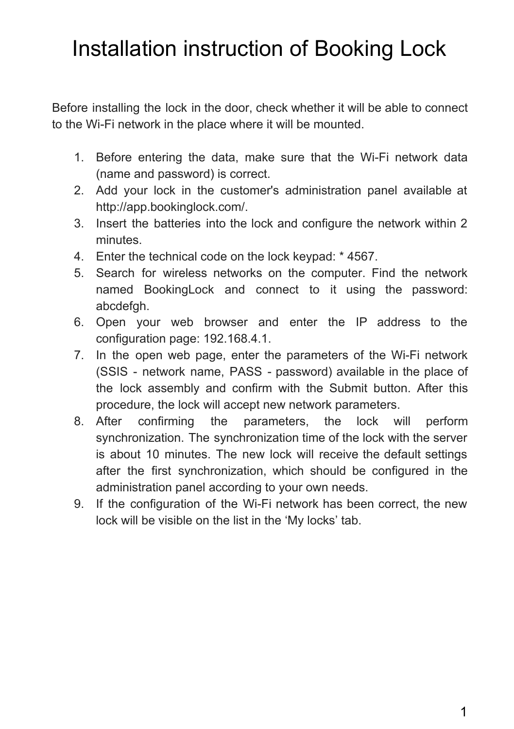## Installation instruction of Booking Lock

Before installing the lock in the door, check whether it will be able to connect to the Wi-Fi network in the place where it will be mounted.

- 1. Before entering the data, make sure that the Wi-Fi network data (name and password) is correct.
- 2. Add your lock in the customer's administration panel available at http://app.bookinglock.com/.
- 3. Insert the batteries into the lock and configure the network within 2 minutes.
- 4. Enter the technical code on the lock keypad: \* 4567.
- 5. Search for wireless networks on the computer. Find the network named BookingLock and connect to it using the password: abcdefgh.
- 6. Open your web browser and enter the IP address to the configuration page: 192.168.4.1.
- 7. In the open web page, enter the parameters of the Wi-Fi network (SSIS - network name, PASS - password) available in the place of the lock assembly and confirm with the Submit button. After this procedure, the lock will accept new network parameters.
- 8. After confirming the parameters, the lock will perform synchronization. The synchronization time of the lock with the server is about 10 minutes. The new lock will receive the default settings after the first synchronization, which should be configured in the administration panel according to your own needs.
- 9. If the configuration of the Wi-Fi network has been correct, the new lock will be visible on the list in the 'My locks' tab.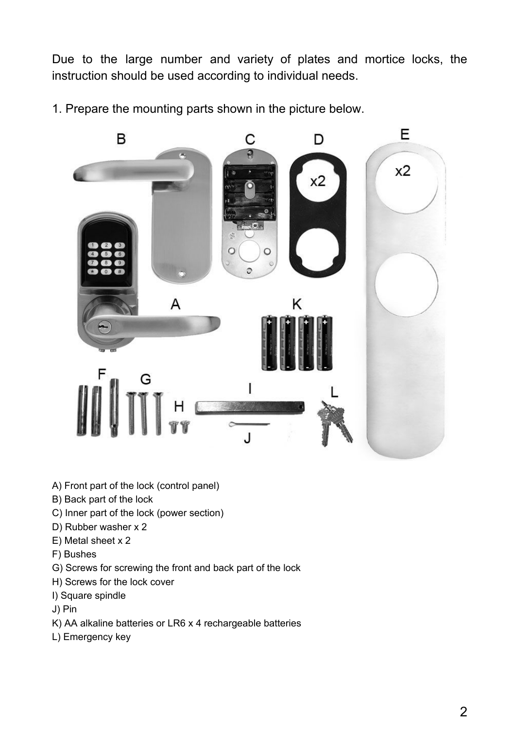Due to the large number and variety of plates and mortice locks, the instruction should be used according to individual needs.

1. Prepare the mounting parts shown in the picture below.



- A) Front part of the lock (control panel)
- B) Back part of the lock
- C) Inner part of the lock (power section)
- D) Rubber washer x 2
- E) Metal sheet x 2
- F) Bushes
- G) Screws for screwing the front and back part of the lock
- H) Screws for the lock cover
- I) Square spindle
- J) Pin
- K) AA alkaline batteries or LR6 x 4 rechargeable batteries
- L) Emergency key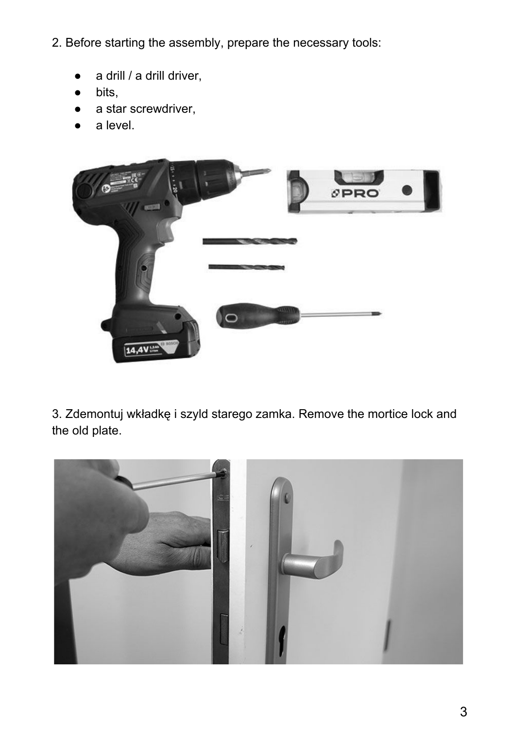- 2. Before starting the assembly, prepare the necessary tools:
	- a drill / a drill driver,
	- bits,
	- a star screwdriver,
	- a level.



3. Zdemontuj wkładkę i szyld starego zamka. Remove the mortice lock and the old plate.

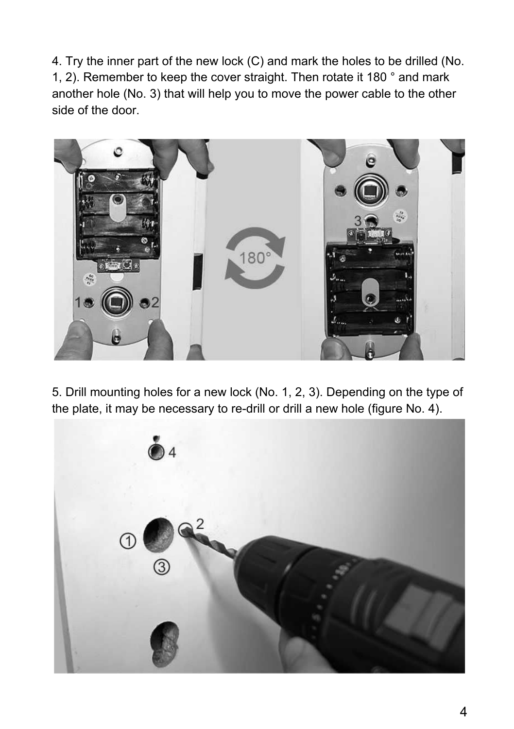4. Try the inner part of the new lock (C) and mark the holes to be drilled (No. 1, 2). Remember to keep the cover straight. Then rotate it 180 ° and mark another hole (No. 3) that will help you to move the power cable to the other side of the door.



5. Drill mounting holes for a new lock (No. 1, 2, 3). Depending on the type of the plate, it may be necessary to re-drill or drill a new hole (figure No. 4).

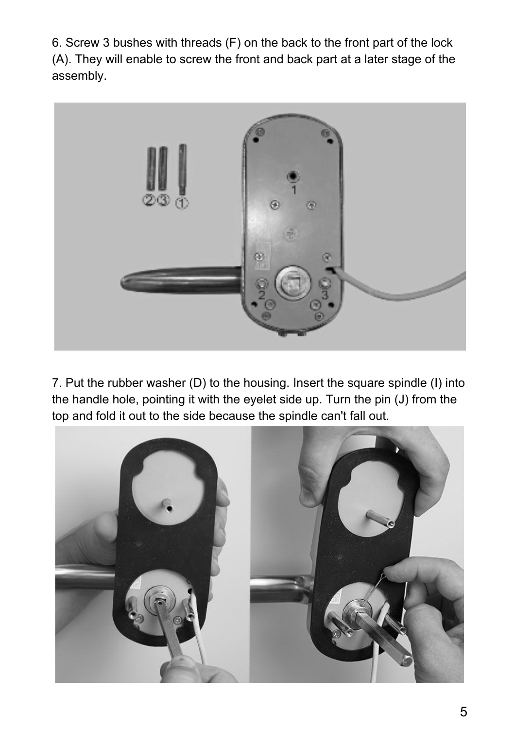6. Screw 3 bushes with threads (F) on the back to the front part of the lock (A). They will enable to screw the front and back part at a later stage of the assembly.



7. Put the rubber washer (D) to the housing. Insert the square spindle (I) into the handle hole, pointing it with the eyelet side up. Turn the pin (J) from the top and fold it out to the side because the spindle can't fall out.

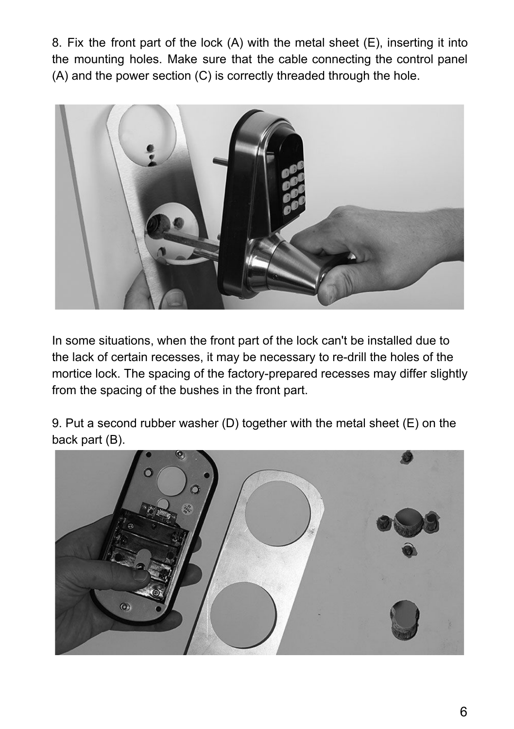8. Fix the front part of the lock (A) with the metal sheet (E), inserting it into the mounting holes. Make sure that the cable connecting the control panel (A) and the power section (C) is correctly threaded through the hole.



In some situations, when the front part of the lock can't be installed due to the lack of certain recesses, it may be necessary to re-drill the holes of the mortice lock. The spacing of the factory-prepared recesses may differ slightly from the spacing of the bushes in the front part.

9. Put a second rubber washer (D) together with the metal sheet (E) on the back part (B).

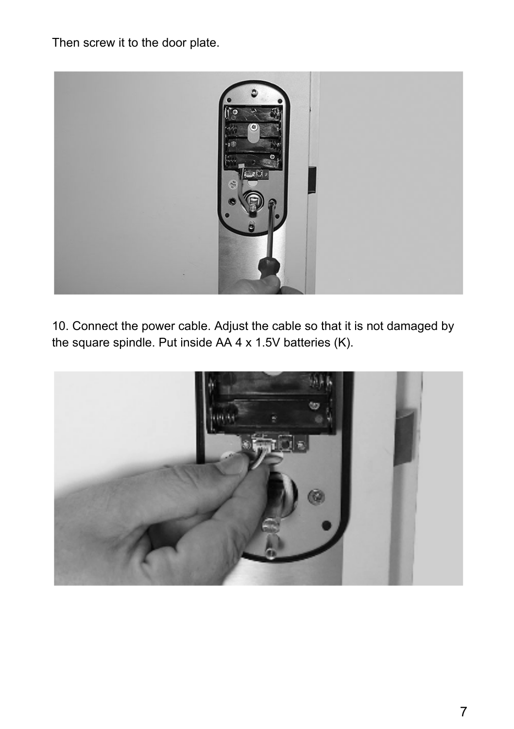Then screw it to the door plate.



10. Connect the power cable. Adjust the cable so that it is not damaged by the square spindle. Put inside AA 4 x 1.5V batteries (K).

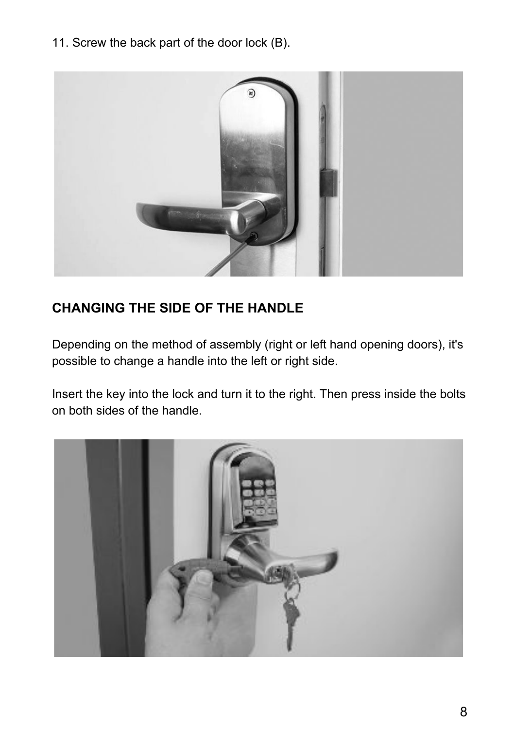11. Screw the back part of the door lock (B).



## **CHANGING THE SIDE OF THE HANDLE**

Depending on the method of assembly (right or left hand opening doors), it's possible to change a handle into the left or right side.

Insert the key into the lock and turn it to the right. Then press inside the bolts on both sides of the handle.